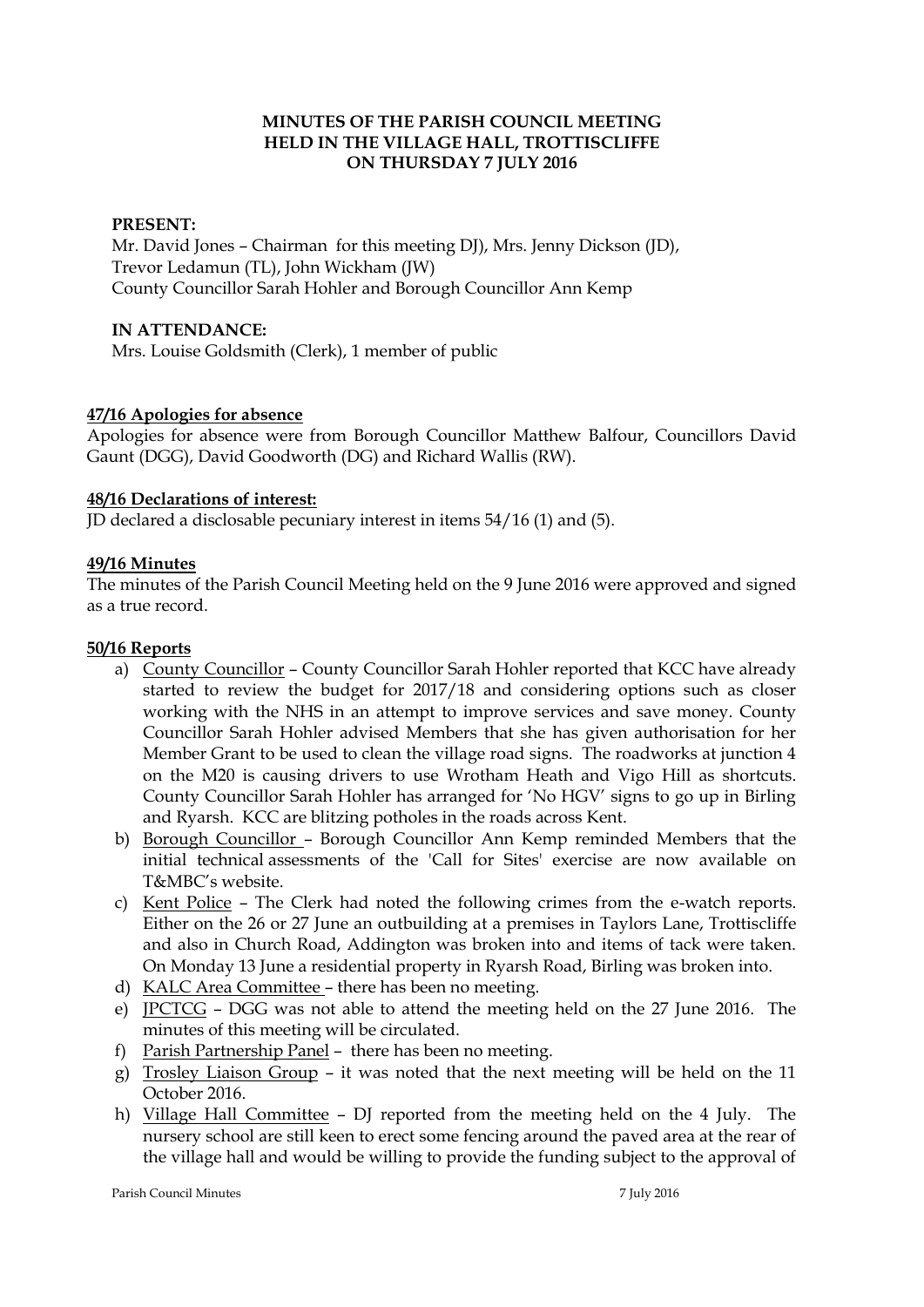### **MINUTES OF THE PARISH COUNCIL MEETING HELD IN THE VILLAGE HALL, TROTTISCLIFFE ON THURSDAY 7 JULY 2016**

### **PRESENT:**

Mr. David Jones - Chairman for this meeting DJ), Mrs. Jenny Dickson (JD), Trevor Ledamun (TL), John Wickham (JW) County Councillor Sarah Hohler and Borough Councillor Ann Kemp

### **IN ATTENDANCE:**

Mrs. Louise Goldsmith (Clerk), 1 member of public

### **47/16 Apologies for absence**

Apologies for absence were from Borough Councillor Matthew Balfour, Councillors David Gaunt (DGG), David Goodworth (DG) and Richard Wallis (RW).

### **48/16 Declarations of interest:**

JD declared a disclosable pecuniary interest in items 54/16 (1) and (5).

### **49/16 Minutes**

The minutes of the Parish Council Meeting held on the 9 June 2016 were approved and signed as a true record.

#### **50/16 Reports**

- a) County Councillor County Councillor Sarah Hohler reported that KCC have already started to review the budget for 2017/18 and considering options such as closer working with the NHS in an attempt to improve services and save money. County Councillor Sarah Hohler advised Members that she has given authorisation for her Member Grant to be used to clean the village road signs. The roadworks at junction 4 on the M20 is causing drivers to use Wrotham Heath and Vigo Hill as shortcuts. County Councillor Sarah Hohler has arranged for 'No HGV' signs to go up in Birling and Ryarsh. KCC are blitzing potholes in the roads across Kent.
- b) Borough Councillor Borough Councillor Ann Kemp reminded Members that the initial technical assessments of the 'Call for Sites' exercise are now available on T&MBC's website.
- c) Kent Police The Clerk had noted the following crimes from the e-watch reports. Either on the 26 or 27 June an outbuilding at a premises in Taylors Lane, Trottiscliffe and also in Church Road, Addington was broken into and items of tack were taken. On Monday 13 June a residential property in Ryarsh Road, Birling was broken into.
- d) KALC Area Committee there has been no meeting.
- e) JPCTCG DGG was not able to attend the meeting held on the 27 June 2016. The minutes of this meeting will be circulated.
- f) Parish Partnership Panel there has been no meeting.
- g) Trosley Liaison Group it was noted that the next meeting will be held on the 11 October 2016.
- h) Village Hall Committee DJ reported from the meeting held on the 4 July. The nursery school are still keen to erect some fencing around the paved area at the rear of the village hall and would be willing to provide the funding subject to the approval of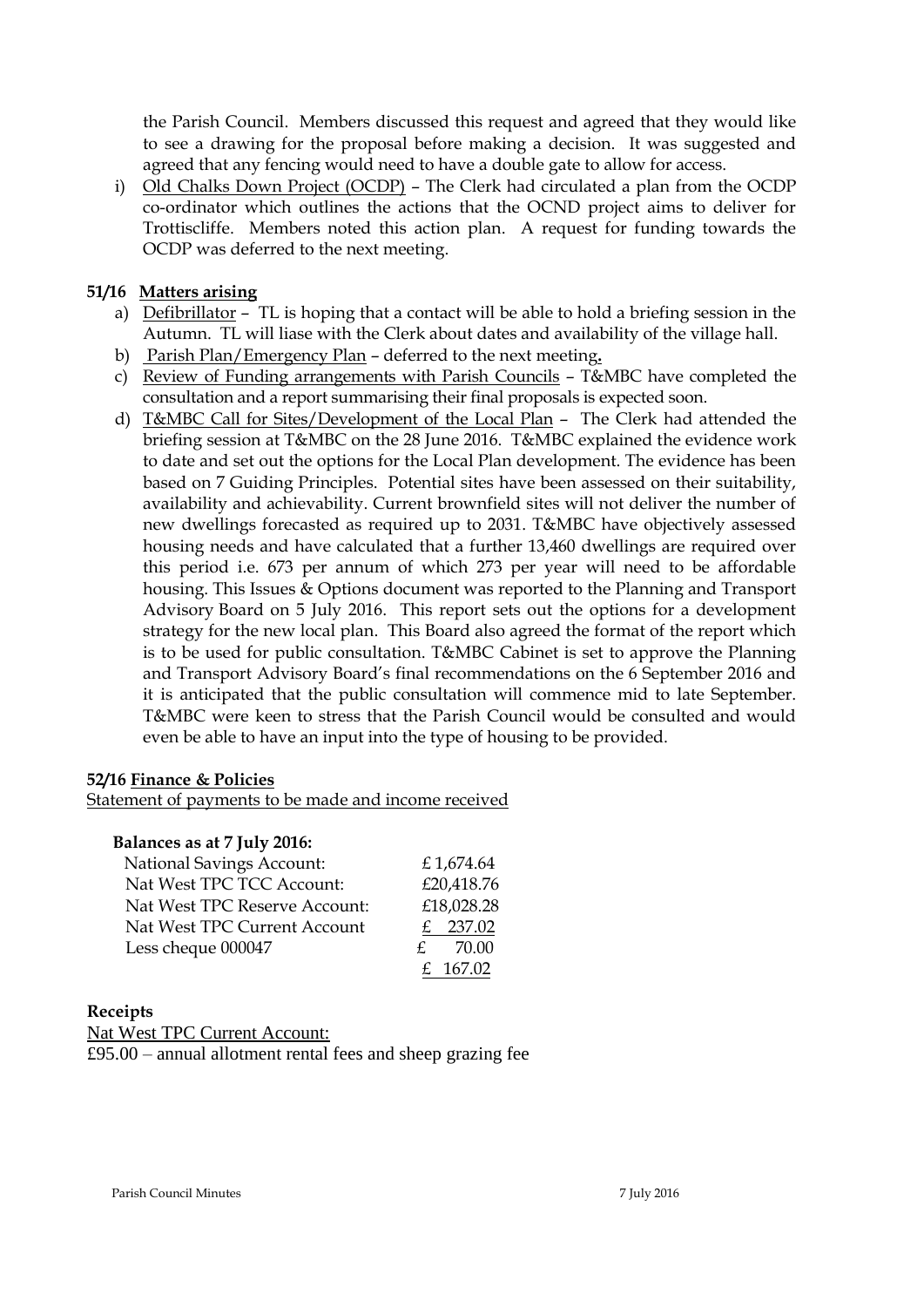the Parish Council. Members discussed this request and agreed that they would like to see a drawing for the proposal before making a decision. It was suggested and agreed that any fencing would need to have a double gate to allow for access.

i) Old Chalks Down Project (OCDP) – The Clerk had circulated a plan from the OCDP co-ordinator which outlines the actions that the OCND project aims to deliver for Trottiscliffe. Members noted this action plan. A request for funding towards the OCDP was deferred to the next meeting.

### **51/16 Matters arising**

- a) Defibrillator TL is hoping that a contact will be able to hold a briefing session in the Autumn. TL will liase with the Clerk about dates and availability of the village hall.
- b) Parish Plan/Emergency Plan deferred to the next meeting**.**
- c) Review of Funding arrangements with Parish Councils T&MBC have completed the consultation and a report summarising their final proposals is expected soon.
- d) T&MBC Call for Sites/Development of the Local Plan The Clerk had attended the briefing session at T&MBC on the 28 June 2016. T&MBC explained the evidence work to date and set out the options for the Local Plan development. The evidence has been based on 7 Guiding Principles. Potential sites have been assessed on their suitability, availability and achievability. Current brownfield sites will not deliver the number of new dwellings forecasted as required up to 2031. T&MBC have objectively assessed housing needs and have calculated that a further 13,460 dwellings are required over this period i.e. 673 per annum of which 273 per year will need to be affordable housing. This Issues & Options document was reported to the Planning and Transport Advisory Board on 5 July 2016. This report sets out the options for a development strategy for the new local plan. This Board also agreed the format of the report which is to be used for public consultation. T&MBC Cabinet is set to approve the Planning and Transport Advisory Board's final recommendations on the 6 September 2016 and it is anticipated that the public consultation will commence mid to late September. T&MBC were keen to stress that the Parish Council would be consulted and would even be able to have an input into the type of housing to be provided.

### **52/16 Finance & Policies**

Statement of payments to be made and income received

### **Balances as at 7 July 2016:**

| <b>National Savings Account:</b> | £1,674.64  |
|----------------------------------|------------|
| Nat West TPC TCC Account:        | £20,418.76 |
| Nat West TPC Reserve Account:    | £18,028.28 |
| Nat West TPC Current Account     | 237.02     |
| Less cheque 000047               | 70.00      |
|                                  | £ 167.02   |

### **Receipts**

Nat West TPC Current Account:

£95.00 – annual allotment rental fees and sheep grazing fee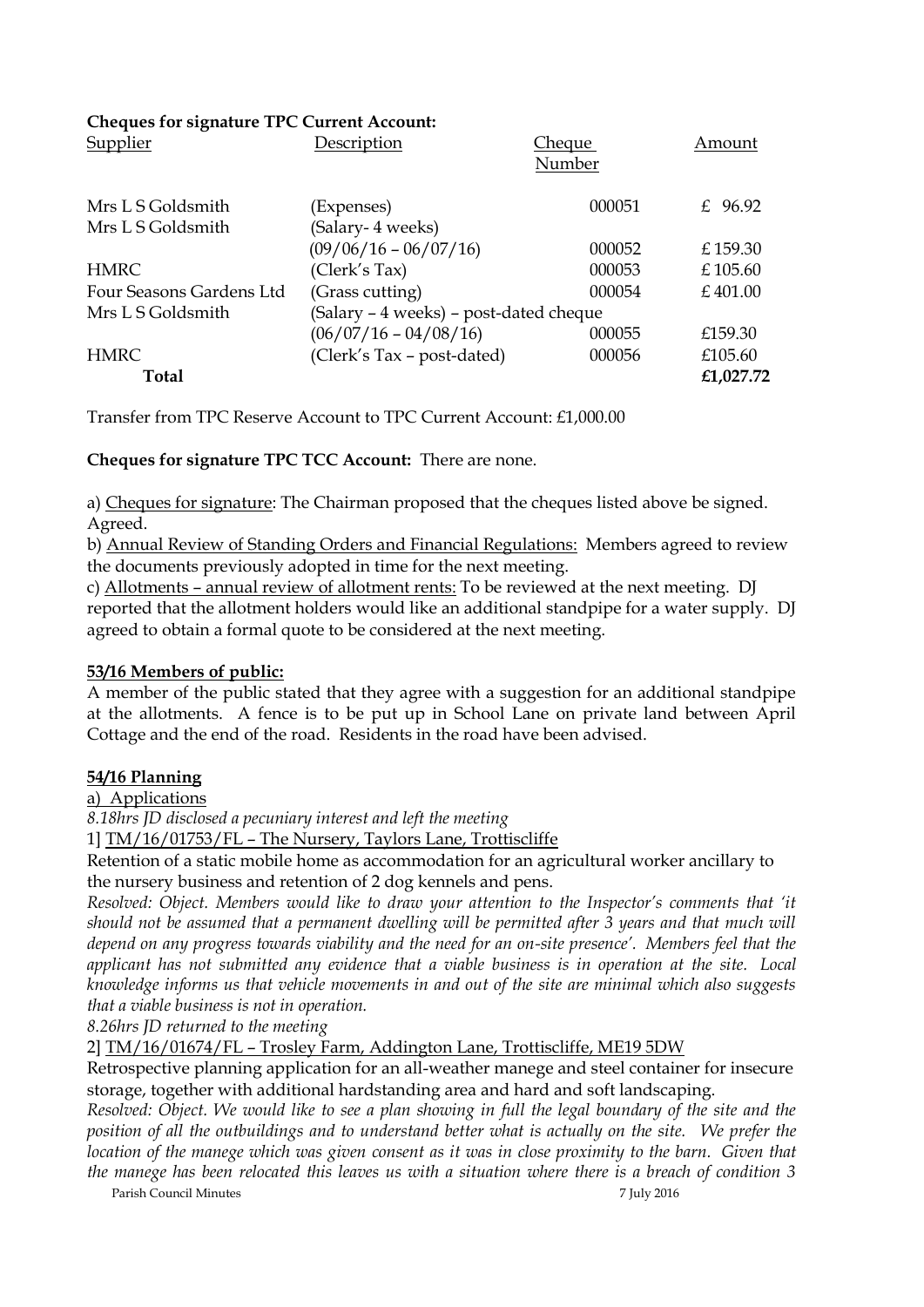### **Cheques for signature TPC Current Account:**

| Supplier                 | Description                            | <u>Cheque</u><br>Number | Amount     |
|--------------------------|----------------------------------------|-------------------------|------------|
| Mrs L S Goldsmith        | (Expenses)                             | 000051                  | £ 96.92    |
| Mrs L S Goldsmith        | (Salary- 4 weeks)                      |                         |            |
|                          | $(09/06/16 - 06/07/16)$                | 000052                  | £159.30    |
| <b>HMRC</b>              | (Clerk's Tax)                          | 000053                  | £ $105.60$ |
| Four Seasons Gardens Ltd | (Grass cutting)                        | 000054                  | £401.00    |
| Mrs L S Goldsmith        | (Salary – 4 weeks) – post-dated cheque |                         |            |
|                          | $(06/07/16 - 04/08/16)$                | 000055                  | £159.30    |
| <b>HMRC</b>              | (Clerk's Tax - post-dated)             | 000056                  | £105.60    |
| Total                    |                                        |                         | £1,027.72  |

Transfer from TPC Reserve Account to TPC Current Account: £1,000.00

## **Cheques for signature TPC TCC Account:** There are none.

a) Cheques for signature: The Chairman proposed that the cheques listed above be signed. Agreed.

b) Annual Review of Standing Orders and Financial Regulations: Members agreed to review the documents previously adopted in time for the next meeting.

c) Allotments – annual review of allotment rents: To be reviewed at the next meeting. DJ reported that the allotment holders would like an additional standpipe for a water supply. DJ agreed to obtain a formal quote to be considered at the next meeting.

## **53/16 Members of public:**

A member of the public stated that they agree with a suggestion for an additional standpipe at the allotments. A fence is to be put up in School Lane on private land between April Cottage and the end of the road. Residents in the road have been advised.

## **54/16 Planning**

a) Applications

*8.18hrs JD disclosed a pecuniary interest and left the meeting*

1] TM/16/01753/FL – The Nursery, Taylors Lane, Trottiscliffe

Retention of a static mobile home as accommodation for an agricultural worker ancillary to the nursery business and retention of 2 dog kennels and pens.

*Resolved: Object. Members would like to draw your attention to the Inspector's comments that 'it should not be assumed that a permanent dwelling will be permitted after 3 years and that much will depend on any progress towards viability and the need for an on-site presence'. Members feel that the applicant has not submitted any evidence that a viable business is in operation at the site. Local knowledge informs us that vehicle movements in and out of the site are minimal which also suggests that a viable business is not in operation.*

*8.26hrs JD returned to the meeting*

2] TM/16/01674/FL – Trosley Farm, Addington Lane, Trottiscliffe, ME19 5DW

Retrospective planning application for an all-weather manege and steel container for insecure storage, together with additional hardstanding area and hard and soft landscaping.

*Resolved: Object. We would like to see a plan showing in full the legal boundary of the site and the position of all the outbuildings and to understand better what is actually on the site. We prefer the location of the manege which was given consent as it was in close proximity to the barn. Given that the manege has been relocated this leaves us with a situation where there is a breach of condition 3* 

Parish Council Minutes 7 July 2016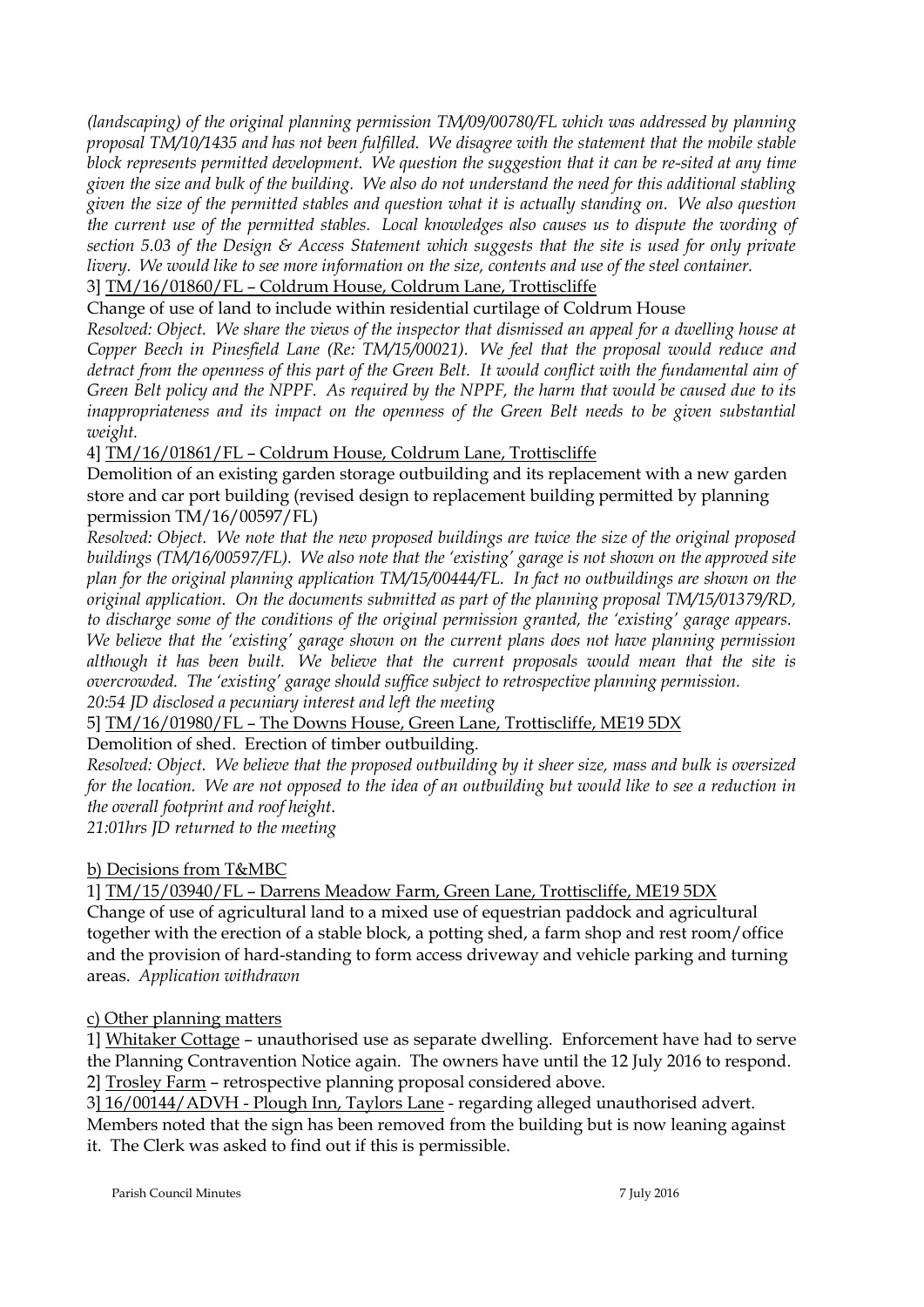*(landscaping) of the original planning permission TM/09/00780/FL which was addressed by planning proposal TM/10/1435 and has not been fulfilled. We disagree with the statement that the mobile stable block represents permitted development. We question the suggestion that it can be re-sited at any time given the size and bulk of the building. We also do not understand the need for this additional stabling given the size of the permitted stables and question what it is actually standing on. We also question the current use of the permitted stables. Local knowledges also causes us to dispute the wording of section 5.03 of the Design & Access Statement which suggests that the site is used for only private livery. We would like to see more information on the size, contents and use of the steel container.*

3] TM/16/01860/FL – Coldrum House, Coldrum Lane, Trottiscliffe

Change of use of land to include within residential curtilage of Coldrum House

*Resolved: Object. We share the views of the inspector that dismissed an appeal for a dwelling house at Copper Beech in Pinesfield Lane (Re: TM/15/00021). We feel that the proposal would reduce and detract from the openness of this part of the Green Belt. It would conflict with the fundamental aim of Green Belt policy and the NPPF. As required by the NPPF, the harm that would be caused due to its*  inappropriateness and its impact on the openness of the Green Belt needs to be given substantial *weight.*

## 4] TM/16/01861/FL – Coldrum House, Coldrum Lane, Trottiscliffe

Demolition of an existing garden storage outbuilding and its replacement with a new garden store and car port building (revised design to replacement building permitted by planning permission TM/16/00597/FL)

*Resolved: Object. We note that the new proposed buildings are twice the size of the original proposed buildings (TM/16/00597/FL). We also note that the 'existing' garage is not shown on the approved site plan for the original planning application TM/15/00444/FL. In fact no outbuildings are shown on the original application. On the documents submitted as part of the planning proposal TM/15/01379/RD, to discharge some of the conditions of the original permission granted, the 'existing' garage appears. We believe that the 'existing' garage shown on the current plans does not have planning permission although it has been built. We believe that the current proposals would mean that the site is overcrowded. The 'existing' garage should suffice subject to retrospective planning permission. 20:54 JD disclosed a pecuniary interest and left the meeting*

5] TM/16/01980/FL – The Downs House, Green Lane, Trottiscliffe, ME19 5DX

Demolition of shed. Erection of timber outbuilding.

*Resolved: Object. We believe that the proposed outbuilding by it sheer size, mass and bulk is oversized for the location. We are not opposed to the idea of an outbuilding but would like to see a reduction in the overall footprint and roof height*.

*21:01hrs JD returned to the meeting*

b) Decisions from T&MBC

1] TM/15/03940/FL – Darrens Meadow Farm, Green Lane, Trottiscliffe, ME19 5DX

Change of use of agricultural land to a mixed use of equestrian paddock and agricultural together with the erection of a stable block, a potting shed, a farm shop and rest room/office and the provision of hard-standing to form access driveway and vehicle parking and turning areas. *Application withdrawn*

### c) Other planning matters

1] Whitaker Cottage – unauthorised use as separate dwelling. Enforcement have had to serve the Planning Contravention Notice again. The owners have until the 12 July 2016 to respond. 2] Trosley Farm – retrospective planning proposal considered above.

3] 16/00144/ADVH - Plough Inn, Taylors Lane - regarding alleged unauthorised advert.

Members noted that the sign has been removed from the building but is now leaning against it. The Clerk was asked to find out if this is permissible.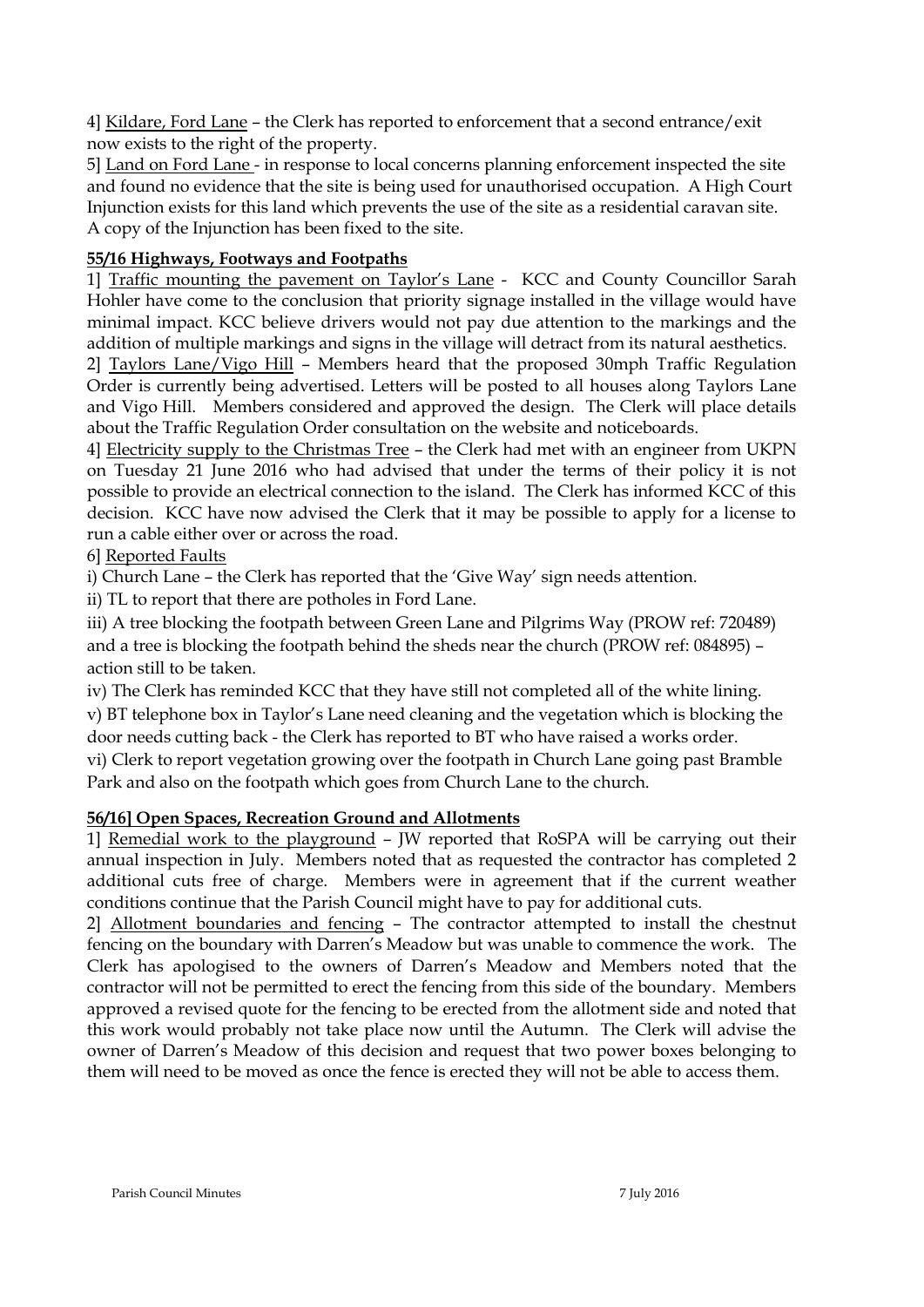4] Kildare, Ford Lane – the Clerk has reported to enforcement that a second entrance/exit now exists to the right of the property.

5] Land on Ford Lane - in response to local concerns planning enforcement inspected the site and found no evidence that the site is being used for unauthorised occupation. A High Court Injunction exists for this land which prevents the use of the site as a residential caravan site. A copy of the Injunction has been fixed to the site.

# **55/16 Highways, Footways and Footpaths**

1] Traffic mounting the pavement on Taylor's Lane - KCC and County Councillor Sarah Hohler have come to the conclusion that priority signage installed in the village would have minimal impact. KCC believe drivers would not pay due attention to the markings and the addition of multiple markings and signs in the village will detract from its natural aesthetics.

2] Taylors Lane/Vigo Hill – Members heard that the proposed 30mph Traffic Regulation Order is currently being advertised. Letters will be posted to all houses along Taylors Lane and Vigo Hill. Members considered and approved the design. The Clerk will place details about the Traffic Regulation Order consultation on the website and noticeboards.

4] Electricity supply to the Christmas Tree – the Clerk had met with an engineer from UKPN on Tuesday 21 June 2016 who had advised that under the terms of their policy it is not possible to provide an electrical connection to the island. The Clerk has informed KCC of this decision. KCC have now advised the Clerk that it may be possible to apply for a license to run a cable either over or across the road.

# 6] Reported Faults

i) Church Lane – the Clerk has reported that the 'Give Way' sign needs attention.

ii) TL to report that there are potholes in Ford Lane.

iii) A tree blocking the footpath between Green Lane and Pilgrims Way (PROW ref: 720489) and a tree is blocking the footpath behind the sheds near the church (PROW ref: 084895) – action still to be taken.

iv) The Clerk has reminded KCC that they have still not completed all of the white lining. v) BT telephone box in Taylor's Lane need cleaning and the vegetation which is blocking the door needs cutting back - the Clerk has reported to BT who have raised a works order.

vi) Clerk to report vegetation growing over the footpath in Church Lane going past Bramble Park and also on the footpath which goes from Church Lane to the church.

## **56/16] Open Spaces, Recreation Ground and Allotments**

1] Remedial work to the playground – JW reported that RoSPA will be carrying out their annual inspection in July. Members noted that as requested the contractor has completed 2 additional cuts free of charge. Members were in agreement that if the current weather conditions continue that the Parish Council might have to pay for additional cuts.

2] Allotment boundaries and fencing – The contractor attempted to install the chestnut fencing on the boundary with Darren's Meadow but was unable to commence the work. The Clerk has apologised to the owners of Darren's Meadow and Members noted that the contractor will not be permitted to erect the fencing from this side of the boundary. Members approved a revised quote for the fencing to be erected from the allotment side and noted that this work would probably not take place now until the Autumn. The Clerk will advise the owner of Darren's Meadow of this decision and request that two power boxes belonging to them will need to be moved as once the fence is erected they will not be able to access them.